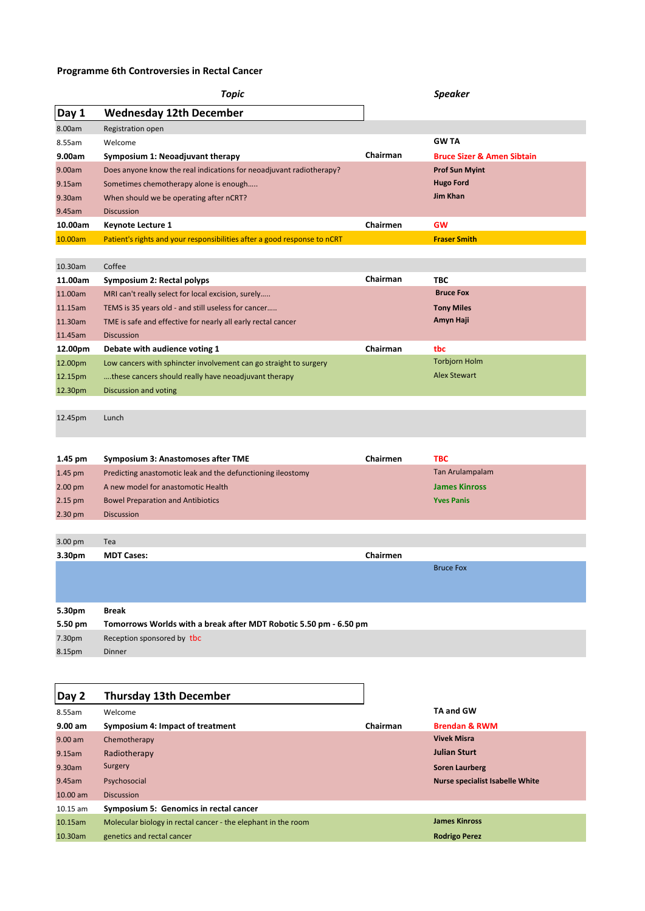## **Programme 6th Controversies in Rectal Cancer**

|                    | Topic                                                                    |          | <b>Speaker</b>                        |  |
|--------------------|--------------------------------------------------------------------------|----------|---------------------------------------|--|
| Day 1              | <b>Wednesday 12th December</b>                                           |          |                                       |  |
| 8.00am             | Registration open                                                        |          |                                       |  |
| 8.55am             | Welcome                                                                  |          | <b>GWTA</b>                           |  |
| 9.00am             | Symposium 1: Neoadjuvant therapy                                         | Chairman | <b>Bruce Sizer &amp; Amen Sibtain</b> |  |
| 9.00am             | Does anyone know the real indications for neoadjuvant radiotherapy?      |          | <b>Prof Sun Myint</b>                 |  |
| 9.15am             | Sometimes chemotherapy alone is enough                                   |          | <b>Hugo Ford</b>                      |  |
| 9.30am             | When should we be operating after nCRT?                                  |          | <b>Jim Khan</b>                       |  |
| 9.45am             | <b>Discussion</b>                                                        |          |                                       |  |
| 10.00am            | <b>Keynote Lecture 1</b>                                                 | Chairmen | <b>GW</b>                             |  |
| 10.00am            | Patient's rights and your responsibilities after a good response to nCRT |          | <b>Fraser Smith</b>                   |  |
| 10.30am            | Coffee                                                                   |          |                                       |  |
| 11.00am            | Symposium 2: Rectal polyps                                               | Chairman | <b>TBC</b>                            |  |
| 11.00am            | MRI can't really select for local excision, surely                       |          | <b>Bruce Fox</b>                      |  |
| 11.15am            | TEMS is 35 years old - and still useless for cancer                      |          | <b>Tony Miles</b>                     |  |
| 11.30am            | TME is safe and effective for nearly all early rectal cancer             |          | Amyn Haji                             |  |
| 11.45am            | <b>Discussion</b>                                                        |          |                                       |  |
| 12.00pm            | Debate with audience voting 1                                            | Chairman | tbc                                   |  |
| 12.00pm            | Low cancers with sphincter involvement can go straight to surgery        |          | <b>Torbjorn Holm</b>                  |  |
| 12.15pm            | these cancers should really have neoadjuvant therapy                     |          | <b>Alex Stewart</b>                   |  |
| 12.30pm            | Discussion and voting                                                    |          |                                       |  |
|                    |                                                                          |          |                                       |  |
| 12.45pm            | Lunch                                                                    |          |                                       |  |
|                    |                                                                          |          |                                       |  |
| 1.45 pm            | Symposium 3: Anastomoses after TME                                       | Chairmen | <b>TBC</b>                            |  |
| 1.45 pm            | Predicting anastomotic leak and the defunctioning ileostomy              |          | Tan Arulampalam                       |  |
| 2.00 <sub>pm</sub> | A new model for anastomotic Health                                       |          | <b>James Kinross</b>                  |  |
| 2.15 pm            | <b>Bowel Preparation and Antibiotics</b>                                 |          | <b>Yves Panis</b>                     |  |
| 2.30 pm            | <b>Discussion</b>                                                        |          |                                       |  |
| 3.00 pm            | Tea                                                                      |          |                                       |  |
| 3.30pm             | <b>MDT Cases:</b>                                                        | Chairmen |                                       |  |
|                    |                                                                          |          | <b>Bruce Fox</b>                      |  |
|                    |                                                                          |          |                                       |  |
| 5.30pm             | <b>Break</b>                                                             |          |                                       |  |
| 5.50 pm            | Tomorrows Worlds with a break after MDT Robotic 5.50 pm - 6.50 pm        |          |                                       |  |
| 7.30pm             | Reception sponsored by tbc                                               |          |                                       |  |
| 8.15pm             | Dinner                                                                   |          |                                       |  |
|                    |                                                                          |          |                                       |  |

| Day 2      | <b>Thursday 13th December</b>                                 |          |                                        |
|------------|---------------------------------------------------------------|----------|----------------------------------------|
| 8.55am     | Welcome                                                       |          | <b>TA and GW</b>                       |
| 9.00 am    | Symposium 4: Impact of treatment                              | Chairman | <b>Brendan &amp; RWM</b>               |
| $9.00$ am  | Chemotherapy                                                  |          | <b>Vivek Misra</b>                     |
| 9.15am     | Radiotherapy                                                  |          | <b>Julian Sturt</b>                    |
| 9.30am     | Surgery                                                       |          | <b>Soren Laurberg</b>                  |
| 9.45am     | Psychosocial                                                  |          | <b>Nurse specialist Isabelle White</b> |
| $10.00$ am | <b>Discussion</b>                                             |          |                                        |
| $10.15$ am | Symposium 5: Genomics in rectal cancer                        |          |                                        |
| $10.15$ am | Molecular biology in rectal cancer - the elephant in the room |          | <b>James Kinross</b>                   |
| 10.30am    | genetics and rectal cancer                                    |          | <b>Rodrigo Perez</b>                   |

┑